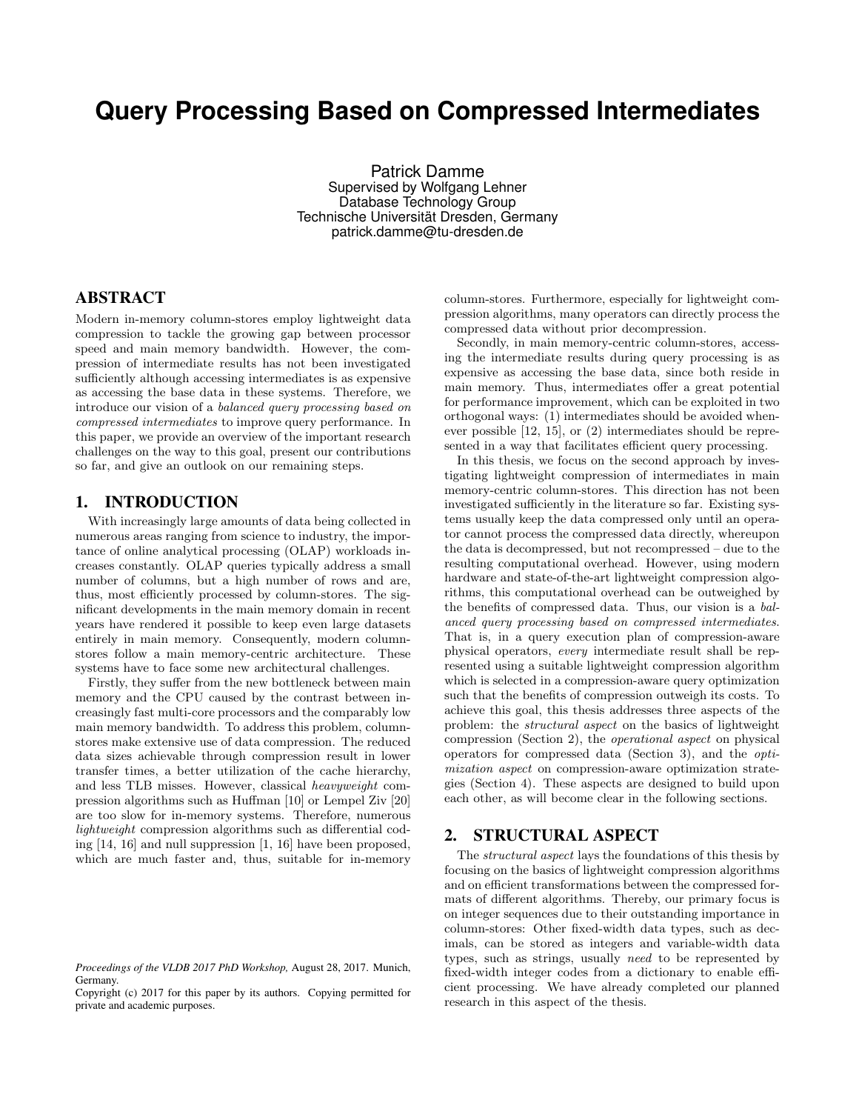# **Query Processing Based on Compressed Intermediates**

Patrick Damme Supervised by Wolfgang Lehner Database Technology Group Technische Universität Dresden, Germany patrick.damme@tu-dresden.de

## ABSTRACT

Modern in-memory column-stores employ lightweight data compression to tackle the growing gap between processor speed and main memory bandwidth. However, the compression of intermediate results has not been investigated sufficiently although accessing intermediates is as expensive as accessing the base data in these systems. Therefore, we introduce our vision of a balanced query processing based on compressed intermediates to improve query performance. In this paper, we provide an overview of the important research challenges on the way to this goal, present our contributions so far, and give an outlook on our remaining steps.

## 1. INTRODUCTION

With increasingly large amounts of data being collected in numerous areas ranging from science to industry, the importance of online analytical processing (OLAP) workloads increases constantly. OLAP queries typically address a small number of columns, but a high number of rows and are, thus, most efficiently processed by column-stores. The significant developments in the main memory domain in recent years have rendered it possible to keep even large datasets entirely in main memory. Consequently, modern columnstores follow a main memory-centric architecture. These systems have to face some new architectural challenges.

Firstly, they suffer from the new bottleneck between main memory and the CPU caused by the contrast between increasingly fast multi-core processors and the comparably low main memory bandwidth. To address this problem, columnstores make extensive use of data compression. The reduced data sizes achievable through compression result in lower transfer times, a better utilization of the cache hierarchy, and less TLB misses. However, classical heavyweight compression algorithms such as Huffman [10] or Lempel Ziv [20] are too slow for in-memory systems. Therefore, numerous lightweight compression algorithms such as differential coding [14, 16] and null suppression [1, 16] have been proposed, which are much faster and, thus, suitable for in-memory

column-stores. Furthermore, especially for lightweight compression algorithms, many operators can directly process the compressed data without prior decompression.

Secondly, in main memory-centric column-stores, accessing the intermediate results during query processing is as expensive as accessing the base data, since both reside in main memory. Thus, intermediates offer a great potential for performance improvement, which can be exploited in two orthogonal ways: (1) intermediates should be avoided whenever possible [12, 15], or (2) intermediates should be represented in a way that facilitates efficient query processing.

In this thesis, we focus on the second approach by investigating lightweight compression of intermediates in main memory-centric column-stores. This direction has not been investigated sufficiently in the literature so far. Existing systems usually keep the data compressed only until an operator cannot process the compressed data directly, whereupon the data is decompressed, but not recompressed – due to the resulting computational overhead. However, using modern hardware and state-of-the-art lightweight compression algorithms, this computational overhead can be outweighed by the benefits of compressed data. Thus, our vision is a balanced query processing based on compressed intermediates. That is, in a query execution plan of compression-aware physical operators, every intermediate result shall be represented using a suitable lightweight compression algorithm which is selected in a compression-aware query optimization such that the benefits of compression outweigh its costs. To achieve this goal, this thesis addresses three aspects of the problem: the structural aspect on the basics of lightweight compression (Section 2), the operational aspect on physical operators for compressed data (Section 3), and the optimization aspect on compression-aware optimization strategies (Section 4). These aspects are designed to build upon each other, as will become clear in the following sections.

## 2. STRUCTURAL ASPECT

The structural aspect lays the foundations of this thesis by focusing on the basics of lightweight compression algorithms and on efficient transformations between the compressed formats of different algorithms. Thereby, our primary focus is on integer sequences due to their outstanding importance in column-stores: Other fixed-width data types, such as decimals, can be stored as integers and variable-width data types, such as strings, usually need to be represented by fixed-width integer codes from a dictionary to enable efficient processing. We have already completed our planned research in this aspect of the thesis.

*Proceedings of the VLDB 2017 PhD Workshop,* August 28, 2017. Munich, Germany.

Copyright (c) 2017 for this paper by its authors. Copying permitted for private and academic purposes.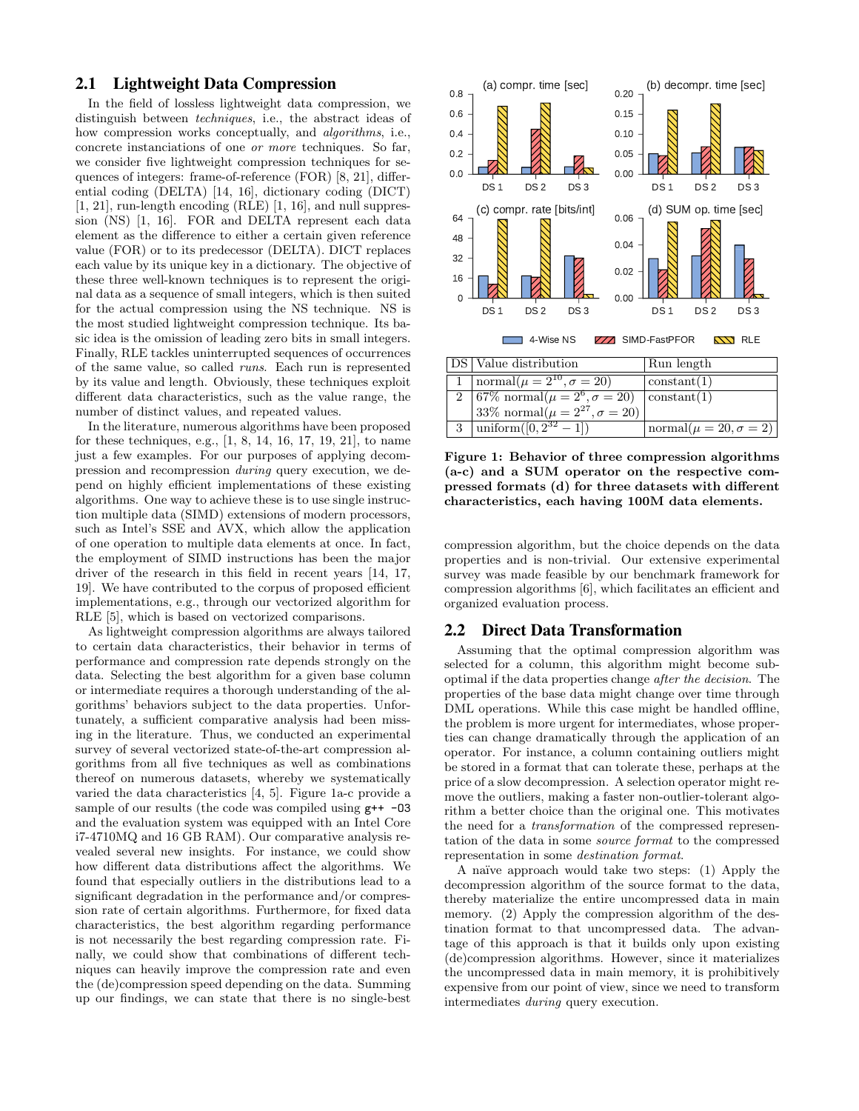### 2.1 Lightweight Data Compression

In the field of lossless lightweight data compression, we distinguish between techniques, i.e., the abstract ideas of how compression works conceptually, and *algorithms*, i.e., concrete instanciations of one or more techniques. So far, we consider five lightweight compression techniques for sequences of integers: frame-of-reference (FOR) [8, 21], differential coding (DELTA) [14, 16], dictionary coding (DICT) [1, 21], run-length encoding (RLE) [1, 16], and null suppression (NS) [1, 16]. FOR and DELTA represent each data element as the difference to either a certain given reference value (FOR) or to its predecessor (DELTA). DICT replaces each value by its unique key in a dictionary. The objective of these three well-known techniques is to represent the original data as a sequence of small integers, which is then suited for the actual compression using the NS technique. NS is the most studied lightweight compression technique. Its basic idea is the omission of leading zero bits in small integers. Finally, RLE tackles uninterrupted sequences of occurrences of the same value, so called runs. Each run is represented by its value and length. Obviously, these techniques exploit different data characteristics, such as the value range, the number of distinct values, and repeated values.

In the literature, numerous algorithms have been proposed for these techniques, e.g., [1, 8, 14, 16, 17, 19, 21], to name just a few examples. For our purposes of applying decompression and recompression during query execution, we depend on highly efficient implementations of these existing algorithms. One way to achieve these is to use single instruction multiple data (SIMD) extensions of modern processors, such as Intel's SSE and AVX, which allow the application of one operation to multiple data elements at once. In fact, the employment of SIMD instructions has been the major driver of the research in this field in recent years [14, 17, 19]. We have contributed to the corpus of proposed efficient implementations, e.g., through our vectorized algorithm for RLE [5], which is based on vectorized comparisons.

As lightweight compression algorithms are always tailored to certain data characteristics, their behavior in terms of performance and compression rate depends strongly on the data. Selecting the best algorithm for a given base column or intermediate requires a thorough understanding of the algorithms' behaviors subject to the data properties. Unfortunately, a sufficient comparative analysis had been missing in the literature. Thus, we conducted an experimental survey of several vectorized state-of-the-art compression algorithms from all five techniques as well as combinations thereof on numerous datasets, whereby we systematically varied the data characteristics [4, 5]. Figure 1a-c provide a sample of our results (the code was compiled using  $g++ -03$ and the evaluation system was equipped with an Intel Core i7-4710MQ and 16 GB RAM). Our comparative analysis revealed several new insights. For instance, we could show how different data distributions affect the algorithms. We found that especially outliers in the distributions lead to a significant degradation in the performance and/or compression rate of certain algorithms. Furthermore, for fixed data characteristics, the best algorithm regarding performance is not necessarily the best regarding compression rate. Finally, we could show that combinations of different techniques can heavily improve the compression rate and even the (de)compression speed depending on the data. Summing up our findings, we can state that there is no single-best



Figure 1: Behavior of three compression algorithms (a-c) and a SUM operator on the respective compressed formats (d) for three datasets with different characteristics, each having 100M data elements.

compression algorithm, but the choice depends on the data properties and is non-trivial. Our extensive experimental survey was made feasible by our benchmark framework for compression algorithms [6], which facilitates an efficient and organized evaluation process.

#### 2.2 Direct Data Transformation

Assuming that the optimal compression algorithm was selected for a column, this algorithm might become suboptimal if the data properties change after the decision. The properties of the base data might change over time through DML operations. While this case might be handled offline, the problem is more urgent for intermediates, whose properties can change dramatically through the application of an operator. For instance, a column containing outliers might be stored in a format that can tolerate these, perhaps at the price of a slow decompression. A selection operator might remove the outliers, making a faster non-outlier-tolerant algorithm a better choice than the original one. This motivates the need for a transformation of the compressed representation of the data in some source format to the compressed representation in some destination format.

A na¨ıve approach would take two steps: (1) Apply the decompression algorithm of the source format to the data, thereby materialize the entire uncompressed data in main memory. (2) Apply the compression algorithm of the destination format to that uncompressed data. The advantage of this approach is that it builds only upon existing (de)compression algorithms. However, since it materializes the uncompressed data in main memory, it is prohibitively expensive from our point of view, since we need to transform intermediates during query execution.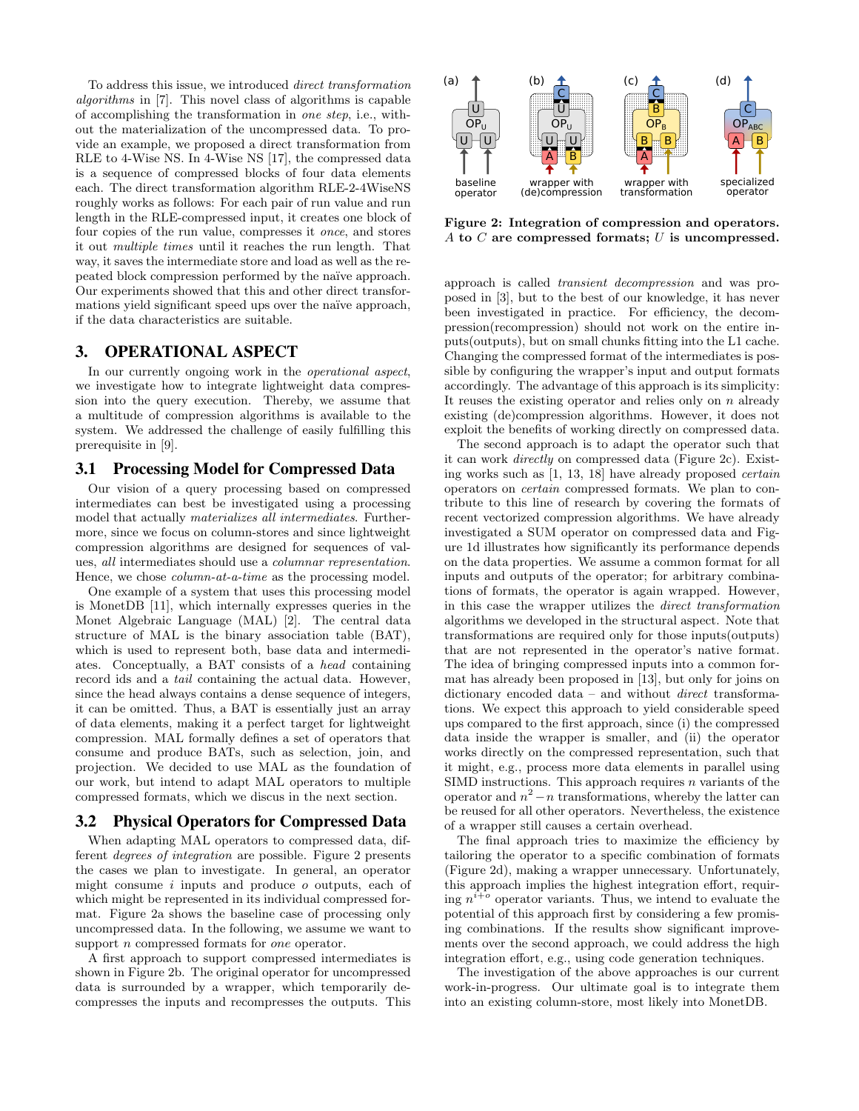To address this issue, we introduced direct transformation algorithms in [7]. This novel class of algorithms is capable of accomplishing the transformation in one step, i.e., without the materialization of the uncompressed data. To provide an example, we proposed a direct transformation from RLE to 4-Wise NS. In 4-Wise NS [17], the compressed data is a sequence of compressed blocks of four data elements each. The direct transformation algorithm RLE-2-4WiseNS roughly works as follows: For each pair of run value and run length in the RLE-compressed input, it creates one block of four copies of the run value, compresses it once, and stores it out multiple times until it reaches the run length. That way, it saves the intermediate store and load as well as the repeated block compression performed by the naïve approach. Our experiments showed that this and other direct transformations yield significant speed ups over the naïve approach, if the data characteristics are suitable.

#### 3. OPERATIONAL ASPECT

In our currently ongoing work in the operational aspect, we investigate how to integrate lightweight data compression into the query execution. Thereby, we assume that a multitude of compression algorithms is available to the system. We addressed the challenge of easily fulfilling this prerequisite in [9].

#### 3.1 Processing Model for Compressed Data

Our vision of a query processing based on compressed intermediates can best be investigated using a processing model that actually materializes all intermediates. Furthermore, since we focus on column-stores and since lightweight compression algorithms are designed for sequences of values, all intermediates should use a columnar representation. Hence, we chose column-at-a-time as the processing model.

One example of a system that uses this processing model is MonetDB [11], which internally expresses queries in the Monet Algebraic Language (MAL) [2]. The central data structure of MAL is the binary association table (BAT), which is used to represent both, base data and intermediates. Conceptually, a BAT consists of a head containing record ids and a tail containing the actual data. However, since the head always contains a dense sequence of integers, it can be omitted. Thus, a BAT is essentially just an array of data elements, making it a perfect target for lightweight compression. MAL formally defines a set of operators that consume and produce BATs, such as selection, join, and projection. We decided to use MAL as the foundation of our work, but intend to adapt MAL operators to multiple compressed formats, which we discus in the next section.

#### 3.2 Physical Operators for Compressed Data

When adapting MAL operators to compressed data, different degrees of integration are possible. Figure 2 presents the cases we plan to investigate. In general, an operator might consume  $i$  inputs and produce  $o$  outputs, each of which might be represented in its individual compressed format. Figure 2a shows the baseline case of processing only uncompressed data. In the following, we assume we want to support *n* compressed formats for *one* operator.

A first approach to support compressed intermediates is shown in Figure 2b. The original operator for uncompressed data is surrounded by a wrapper, which temporarily decompresses the inputs and recompresses the outputs. This



Figure 2: Integration of compression and operators. A to C are compressed formats; U is uncompressed.

approach is called transient decompression and was proposed in [3], but to the best of our knowledge, it has never been investigated in practice. For efficiency, the decompression(recompression) should not work on the entire inputs(outputs), but on small chunks fitting into the L1 cache. Changing the compressed format of the intermediates is possible by configuring the wrapper's input and output formats accordingly. The advantage of this approach is its simplicity: It reuses the existing operator and relies only on  $n$  already existing (de)compression algorithms. However, it does not exploit the benefits of working directly on compressed data.

The second approach is to adapt the operator such that it can work directly on compressed data (Figure 2c). Existing works such as [1, 13, 18] have already proposed certain operators on certain compressed formats. We plan to contribute to this line of research by covering the formats of recent vectorized compression algorithms. We have already investigated a SUM operator on compressed data and Figure 1d illustrates how significantly its performance depends on the data properties. We assume a common format for all inputs and outputs of the operator; for arbitrary combinations of formats, the operator is again wrapped. However, in this case the wrapper utilizes the direct transformation algorithms we developed in the structural aspect. Note that transformations are required only for those inputs(outputs) that are not represented in the operator's native format. The idea of bringing compressed inputs into a common format has already been proposed in [13], but only for joins on dictionary encoded data – and without *direct* transformations. We expect this approach to yield considerable speed ups compared to the first approach, since (i) the compressed data inside the wrapper is smaller, and (ii) the operator works directly on the compressed representation, such that it might, e.g., process more data elements in parallel using SIMD instructions. This approach requires  $n$  variants of the operator and  $n^2 - n$  transformations, whereby the latter can be reused for all other operators. Nevertheless, the existence of a wrapper still causes a certain overhead.

The final approach tries to maximize the efficiency by tailoring the operator to a specific combination of formats (Figure 2d), making a wrapper unnecessary. Unfortunately, this approach implies the highest integration effort, requiring  $n^{i+o}$  operator variants. Thus, we intend to evaluate the potential of this approach first by considering a few promising combinations. If the results show significant improvements over the second approach, we could address the high integration effort, e.g., using code generation techniques.

The investigation of the above approaches is our current work-in-progress. Our ultimate goal is to integrate them into an existing column-store, most likely into MonetDB.